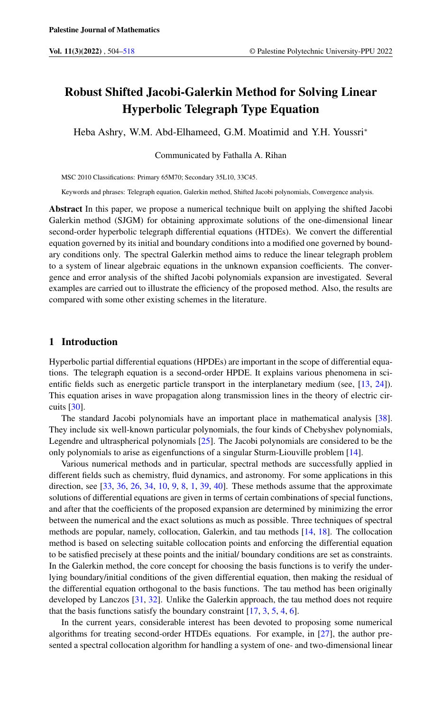# Robust Shifted Jacobi-Galerkin Method for Solving Linear Hyperbolic Telegraph Type Equation

Heba Ashry, W.M. Abd-Elhameed, G.M. Moatimid and Y.H. Youssri<sup>∗</sup>

Communicated by Fathalla A. Rihan

MSC 2010 Classifications: Primary 65M70; Secondary 35L10, 33C45.

Keywords and phrases: Telegraph equation, Galerkin method, Shifted Jacobi polynomials, Convergence analysis.

Abstract In this paper, we propose a numerical technique built on applying the shifted Jacobi Galerkin method (SJGM) for obtaining approximate solutions of the one-dimensional linear second-order hyperbolic telegraph differential equations (HTDEs). We convert the differential equation governed by its initial and boundary conditions into a modified one governed by boundary conditions only. The spectral Galerkin method aims to reduce the linear telegraph problem to a system of linear algebraic equations in the unknown expansion coefficients. The convergence and error analysis of the shifted Jacobi polynomials expansion are investigated. Several examples are carried out to illustrate the efficiency of the proposed method. Also, the results are compared with some other existing schemes in the literature.

# 1 Introduction

Hyperbolic partial differential equations (HPDEs) are important in the scope of differential equations. The telegraph equation is a second-order HPDE. It explains various phenomena in scientific fields such as energetic particle transport in the interplanetary medium (see, [\[13,](#page-13-1) [24\]](#page-13-2)). This equation arises in wave propagation along transmission lines in the theory of electric circuits [\[30\]](#page-14-0).

The standard Jacobi polynomials have an important place in mathematical analysis [\[38\]](#page-14-1). They include six well-known particular polynomials, the four kinds of Chebyshev polynomials, Legendre and ultraspherical polynomials [\[25\]](#page-14-2). The Jacobi polynomials are considered to be the only polynomials to arise as eigenfunctions of a singular Sturm-Liouville problem [\[14\]](#page-13-3).

Various numerical methods and in particular, spectral methods are successfully applied in different fields such as chemistry, fluid dynamics, and astronomy. For some applications in this direction, see [\[33,](#page-14-3) [36,](#page-14-4) [26,](#page-14-5) [34,](#page-14-6) [10,](#page-13-4) [9,](#page-13-5) [8,](#page-13-6) [1,](#page-13-7) [39,](#page-14-7) [40\]](#page-14-8). These methods assume that the approximate solutions of differential equations are given in terms of certain combinations of special functions, and after that the coefficients of the proposed expansion are determined by minimizing the error between the numerical and the exact solutions as much as possible. Three techniques of spectral methods are popular, namely, collocation, Galerkin, and tau methods [\[14,](#page-13-3) [18\]](#page-13-8). The collocation method is based on selecting suitable collocation points and enforcing the differential equation to be satisfied precisely at these points and the initial/ boundary conditions are set as constraints. In the Galerkin method, the core concept for choosing the basis functions is to verify the underlying boundary/initial conditions of the given differential equation, then making the residual of the differential equation orthogonal to the basis functions. The tau method has been originally developed by Lanczos [\[31,](#page-14-9) [32\]](#page-14-10). Unlike the Galerkin approach, the tau method does not require that the basis functions satisfy the boundary constraint  $[17, 3, 5, 4, 6]$  $[17, 3, 5, 4, 6]$  $[17, 3, 5, 4, 6]$  $[17, 3, 5, 4, 6]$  $[17, 3, 5, 4, 6]$  $[17, 3, 5, 4, 6]$  $[17, 3, 5, 4, 6]$  $[17, 3, 5, 4, 6]$  $[17, 3, 5, 4, 6]$ .

In the current years, considerable interest has been devoted to proposing some numerical algorithms for treating second-order HTDEs equations. For example, in [\[27\]](#page-14-11), the author presented a spectral collocation algorithm for handling a system of one- and two-dimensional linear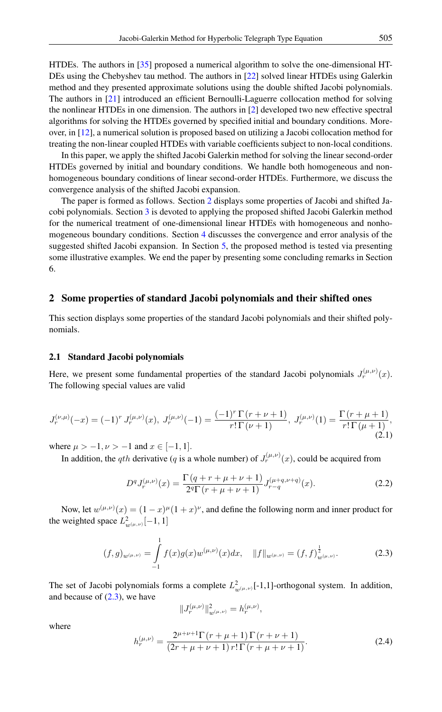HTDEs. The authors in [\[35\]](#page-14-12) proposed a numerical algorithm to solve the one-dimensional HT-DEs using the Chebyshev tau method. The authors in [\[22\]](#page-13-14) solved linear HTDEs using Galerkin method and they presented approximate solutions using the double shifted Jacobi polynomials. The authors in [\[21\]](#page-13-15) introduced an efficient Bernoulli-Laguerre collocation method for solving the nonlinear HTDEs in one dimension. The authors in [\[2\]](#page-13-16) developed two new effective spectral algorithms for solving the HTDEs governed by specified initial and boundary conditions. Moreover, in [\[12\]](#page-13-17), a numerical solution is proposed based on utilizing a Jacobi collocation method for treating the non-linear coupled HTDEs with variable coefficients subject to non-local conditions.

In this paper, we apply the shifted Jacobi Galerkin method for solving the linear second-order HTDEs governed by initial and boundary conditions. We handle both homogeneous and nonhomogeneous boundary conditions of linear second-order HTDEs. Furthermore, we discuss the convergence analysis of the shifted Jacobi expansion.

The paper is formed as follows. Section [2](#page-1-0) displays some properties of Jacobi and shifted Jacobi polynomials. Section [3](#page-4-0) is devoted to applying the proposed shifted Jacobi Galerkin method for the numerical treatment of one-dimensional linear HTDEs with homogeneous and nonhomogeneous boundary conditions. Section [4](#page-8-0) discusses the convergence and error analysis of the suggested shifted Jacobi expansion. In Section [5,](#page-10-0) the proposed method is tested via presenting some illustrative examples. We end the paper by presenting some concluding remarks in Section 6.

# <span id="page-1-0"></span>2 Some properties of standard Jacobi polynomials and their shifted ones

This section displays some properties of the standard Jacobi polynomials and their shifted polynomials.

# 2.1 Standard Jacobi polynomials

Here, we present some fundamental properties of the standard Jacobi polynomials  $J_r^{(\mu,\nu)}(x)$ . The following special values are valid

<span id="page-1-2"></span>
$$
J_r^{(\nu,\mu)}(-x) = (-1)^r J_r^{(\mu,\nu)}(x), \ J_r^{(\mu,\nu)}(-1) = \frac{(-1)^r \Gamma(r+\nu+1)}{r! \Gamma(\nu+1)}, \ J_r^{(\mu,\nu)}(1) = \frac{\Gamma(r+\mu+1)}{r! \Gamma(\mu+1)},
$$
\n(2.1)

where  $\mu > -1, \nu > -1$  and  $x \in [-1, 1]$ .

In addition, the qth derivative (q is a whole number) of  $J_r^{(\mu,\nu)}(x)$ , could be acquired from

<span id="page-1-1"></span>
$$
D^{q}J_{r}^{(\mu,\nu)}(x) = \frac{\Gamma(q+r+\mu+\nu+1)}{2^{q}\Gamma(r+\mu+\nu+1)} J_{r-q}^{(\mu+q,\nu+q)}(x).
$$
 (2.2)

Now, let  $w^{(\mu,\nu)}(x) = (1-x)^{\mu}(1+x)^{\nu}$ , and define the following norm and inner product for the weighted space  $L^2_{w^{(\mu,\nu)}}[-1,1]$ 

$$
(f,g)_{w^{(\mu,\nu)}} = \int_{-1}^{1} f(x)g(x)w^{(\mu,\nu)}(x)dx, \quad ||f||_{w^{(\mu,\nu)}} = (f,f)_{w^{(\mu,\nu)}}^{\frac{1}{2}}.
$$
 (2.3)

The set of Jacobi polynomials forms a complete  $L^2_{w^{(\mu,\nu)}}$ [-1,1]-orthogonal system. In addition, and because of  $(2.3)$ , we have

$$
\|J_r^{(\mu,\nu)}\|_{w^{(\mu,\nu)}}^2=h_r^{(\mu,\nu)},
$$

<span id="page-1-3"></span>where

$$
h_r^{(\mu,\nu)} = \frac{2^{\mu+\nu+1}\Gamma(r+\mu+1)\Gamma(r+\nu+1)}{(2r+\mu+\nu+1)r!\Gamma(r+\mu+\nu+1)}.
$$
 (2.4)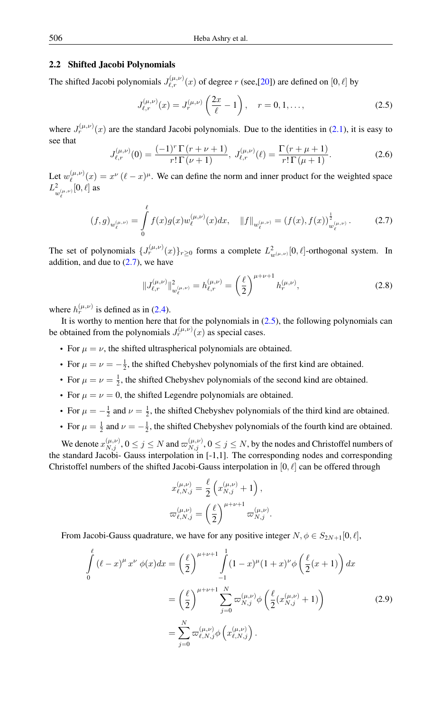# 2.2 Shifted Jacobi Polynomials

The shifted Jacobi polynomials  $J_{\ell,r}^{(\mu,\nu)}(x)$  of degree r (see,[\[20\]](#page-13-18)) are defined on [0,  $\ell$ ] by

<span id="page-2-1"></span>
$$
J_{\ell,r}^{(\mu,\nu)}(x) = J_r^{(\mu,\nu)}\left(\frac{2x}{\ell} - 1\right), \quad r = 0, 1, \dots,
$$
 (2.5)

<span id="page-2-2"></span>where  $J_r^{(\mu,\nu)}(x)$  are the standard Jacobi polynomials. Due to the identities in [\(2.1\)](#page-1-2), it is easy to see that

$$
J_{\ell,r}^{(\mu,\nu)}(0) = \frac{(-1)^r \Gamma(r + \nu + 1)}{r! \Gamma(\nu + 1)}, \ J_{\ell,r}^{(\mu,\nu)}(\ell) = \frac{\Gamma(r + \mu + 1)}{r! \Gamma(\mu + 1)}.
$$
 (2.6)

Let  $w_{\ell}^{(\mu,\nu)}$  $\binom{\mu,\nu}{\ell}(x) = x^{\nu} (\ell - x)^{\mu}$ . We can define the norm and inner product for the weighted space  $L^2$  $_{w_{\ell}^{(\mu ,\nu)}}^{2}[0,\ell ]$  as

<span id="page-2-0"></span>
$$
(f,g)_{w_{\ell}^{(\mu,\nu)}} = \int_{0}^{\ell} f(x)g(x)w_{\ell}^{(\mu,\nu)}(x)dx, \quad ||f||_{w_{\ell}^{(\mu,\nu)}} = (f(x),f(x))_{w_{\ell}^{(\mu,\nu)}}^{\frac{1}{2}}.
$$
 (2.7)

The set of polynomials  $\{J_r^{(\mu,\nu)}(x)\}_{r\geq 0}$  forms a complete  $L^2_{w^{(\mu,\nu)}}[0,\ell]$ -orthogonal system. In addition, and due to  $(2.7)$ , we have

<span id="page-2-4"></span>
$$
||J_{\ell,r}^{(\mu,\nu)}||_{w_{\ell}^{(\mu,\nu)}}^2 = h_{\ell,r}^{(\mu,\nu)} = \left(\frac{\ell}{2}\right)^{\mu+\nu+1} h_r^{(\mu,\nu)},\tag{2.8}
$$

where  $h_r^{(\mu,\nu)}$  is defined as in [\(2.4\)](#page-1-3).

It is worthy to mention here that for the polynomials in  $(2.5)$ , the following polynomials can be obtained from the polynomials  $J_r^{(\mu,\nu)}(x)$  as special cases.

- For  $\mu = \nu$ , the shifted ultraspherical polynomials are obtained.
- For  $\mu = \nu = -\frac{1}{2}$ , the shifted Chebyshev polynomials of the first kind are obtained.
- For  $\mu = \nu = \frac{1}{2}$ , the shifted Chebyshev polynomials of the second kind are obtained.
- For  $\mu = \nu = 0$ , the shifted Legendre polynomials are obtained.
- For  $\mu = -\frac{1}{2}$  and  $\nu = \frac{1}{2}$ , the shifted Chebyshev polynomials of the third kind are obtained.
- For  $\mu = \frac{1}{2}$  and  $\nu = -\frac{1}{2}$ , the shifted Chebyshev polynomials of the fourth kind are obtained.

We denote  $x_{N,j}^{(\mu,\nu)}, 0 \le j \le N$  and  $\varpi_{N,j}^{(\mu,\nu)}, 0 \le j \le N$ , by the nodes and Christoffel numbers of the standard Jacobi- Gauss interpolation in [-1,1]. The corresponding nodes and corresponding Christoffel numbers of the shifted Jacobi-Gauss interpolation in  $[0, \ell]$  can be offered through

<span id="page-2-3"></span>
$$
x_{\ell,N,j}^{(\mu,\nu)} = \frac{\ell}{2} \left( x_{N,j}^{(\mu,\nu)} + 1 \right),
$$
  

$$
\varpi_{\ell,N,j}^{(\mu,\nu)} = \left( \frac{\ell}{2} \right)^{\mu+\nu+1} \varpi_{N,j}^{(\mu,\nu)}.
$$

From Jacobi-Gauss quadrature, we have for any positive integer  $N, \phi \in S_{2N+1}[0, \ell],$ 

$$
\int_{0}^{\ell} (\ell - x)^{\mu} x^{\nu} \phi(x) dx = \left(\frac{\ell}{2}\right)^{\mu + \nu + 1} \int_{-1}^{1} (1 - x)^{\mu} (1 + x)^{\nu} \phi\left(\frac{\ell}{2} (x + 1)\right) dx
$$

$$
= \left(\frac{\ell}{2}\right)^{\mu + \nu + 1} \sum_{j=0}^{N} \varpi_{N,j}^{(\mu,\nu)} \phi\left(\frac{\ell}{2} (x_{N,j}^{(\mu,\nu)} + 1)\right)
$$

$$
= \sum_{j=0}^{N} \varpi_{\ell,N,j}^{(\mu,\nu)} \phi\left(x_{\ell,N,j}^{(\mu,\nu)}\right).
$$
(2.9)

 $\ell$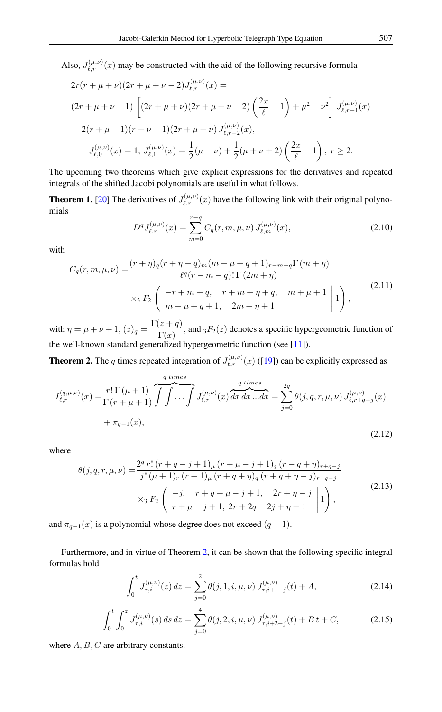Also,  $J_{\ell,r}^{(\mu,\nu)}(x)$  may be constructed with the aid of the following recursive formula

$$
2r(r + \mu + \nu)(2r + \mu + \nu - 2)J_{\ell,r}^{(\mu,\nu)}(x) =
$$
  
\n
$$
(2r + \mu + \nu - 1) \left[ (2r + \mu + \nu)(2r + \mu + \nu - 2) \left( \frac{2x}{\ell} - 1 \right) + \mu^2 - \nu^2 \right] J_{\ell,r-1}^{(\mu,\nu)}(x)
$$
  
\n
$$
- 2(r + \mu - 1)(r + \nu - 1)(2r + \mu + \nu) J_{\ell,r-2}^{(\mu,\nu)}(x),
$$
  
\n
$$
J_{\ell,0}^{(\mu,\nu)}(x) = 1, J_{\ell,1}^{(\mu,\nu)}(x) = \frac{1}{2} (\mu - \nu) + \frac{1}{2} (\mu + \nu + 2) \left( \frac{2x}{\ell} - 1 \right), r \ge 2.
$$

The upcoming two theorems which give explicit expressions for the derivatives and repeated integrals of the shifted Jacobi polynomials are useful in what follows.

**Theorem 1.** [\[20\]](#page-13-18) The derivatives of  $J_{\ell,r}^{(\mu,\nu)}(x)$  have the following link with their original polynomials

<span id="page-3-3"></span>
$$
D^{q} J_{\ell,r}^{(\mu,\nu)}(x) = \sum_{m=0}^{r-q} C_q(r,m,\mu,\nu) J_{\ell,m}^{(\mu,\nu)}(x),
$$
\n(2.10)

with

$$
C_q(r, m, \mu, \nu) = \frac{(r + \eta)q(r + \eta + q)_{m}(m + \mu + q + 1)_{r - m - q} \Gamma(m + \eta)}{\ell^q(r - m - q)! \Gamma(2m + \eta)}
$$
  
 
$$
\times {}_3F_2 \left( \begin{array}{c} -r + m + q, & r + m + \eta + q, & m + \mu + 1 \\ m + \mu + q + 1, & 2m + \eta + 1 \end{array} \middle| 1 \right), \tag{2.11}
$$

with  $\eta = \mu + \nu + 1$ ,  $(z)_q = \frac{\Gamma(z+q)}{\Gamma(z)}$  $\frac{f(x+q)}{\Gamma(x)}$ , and  $_3F_2(z)$  denotes a specific hypergeometric function of the well-known standard generalized hypergeometric function (see [\[11\]](#page-13-19)).

<span id="page-3-0"></span>**Theorem 2.** The q times repeated integration of  $J_{\ell,r}^{(\mu,\nu)}(x)$  ([\[19\]](#page-13-20)) can be explicitly expressed as

$$
I_{\ell,r}^{(q,\mu,\nu)}(x) = \frac{r!\,\Gamma(\mu+1)}{\Gamma(r+\mu+1)} \overbrace{\int \int \cdots \int}^{q \ times}_{\ell,r} J_{\ell,r}^{(\mu,\nu)}(x) \overbrace{dx \, dx \, ... dx}^{q \ times} = \sum_{j=0}^{2q} \theta(j,q,r,\mu,\nu) J_{\ell,r+q-j}^{(\mu,\nu)}(x) + \pi_{q-1}(x), \tag{2.12}
$$

where

$$
\theta(j,q,r,\mu,\nu) = \frac{2^q r! (r+q-j+1)_{\mu} (r+\mu-j+1)_j (r-q+\eta)_{r+q-j}}{j! (\mu+1)_r (r+1)_{\mu} (r+q+\eta)_{q} (r+q+\eta-j)_{r+q-j}} \times {}_{3}F_2 \left( \begin{array}{cc} -j, & r+q+\mu-j+1, & 2r+\eta-j\\ r+\mu-j+1, & 2r+2q-2j+\eta+1 \end{array} \right), \tag{2.13}
$$

and  $\pi_{q-1}(x)$  is a polynomial whose degree does not exceed  $(q - 1)$ .

Furthermore, and in virtue of Theorem [2,](#page-3-0) it can be shown that the following specific integral formulas hold

<span id="page-3-2"></span><span id="page-3-1"></span>
$$
\int_0^t J_{\tau,i}^{(\mu,\nu)}(z) dz = \sum_{j=0}^2 \theta(j,1,i,\mu,\nu) J_{\tau,i+1-j}^{(\mu,\nu)}(t) + A,
$$
\n(2.14)

$$
\int_0^t \int_0^z J_{\tau,i}^{(\mu,\nu)}(s) \, ds \, dz = \sum_{j=0}^4 \theta(j,2,i,\mu,\nu) J_{\tau,i+2-j}^{(\mu,\nu)}(t) + B \, t + C,\tag{2.15}
$$

where  $A, B, C$  are arbitrary constants.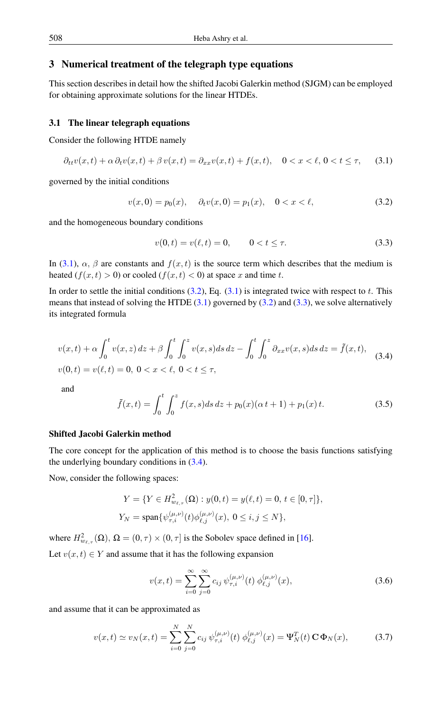# <span id="page-4-0"></span>3 Numerical treatment of the telegraph type equations

This section describes in detail how the shifted Jacobi Galerkin method (SJGM) can be employed for obtaining approximate solutions for the linear HTDEs.

# 3.1 The linear telegraph equations

Consider the following HTDE namely

$$
\partial_{tt}v(x,t) + \alpha \partial_t v(x,t) + \beta v(x,t) = \partial_{xx}v(x,t) + f(x,t), \quad 0 < x < \ell, \, 0 < t \leq \tau,\tag{3.1}
$$

governed by the initial conditions

<span id="page-4-2"></span><span id="page-4-1"></span>
$$
v(x,0) = p_0(x), \quad \partial_t v(x,0) = p_1(x), \quad 0 < x < \ell,\tag{3.2}
$$

and the homogeneous boundary conditions

<span id="page-4-3"></span>
$$
v(0,t) = v(\ell,t) = 0, \qquad 0 < t \le \tau.
$$
 (3.3)

In [\(3.1\)](#page-4-1),  $\alpha$ ,  $\beta$  are constants and  $f(x, t)$  is the source term which describes that the medium is heated  $(f(x, t) > 0)$  or cooled  $(f(x, t) < 0)$  at space x and time t.

In order to settle the initial conditions  $(3.2)$ , Eq.  $(3.1)$  is integrated twice with respect to t. This means that instead of solving the HTDE  $(3.1)$  governed by  $(3.2)$  and  $(3.3)$ , we solve alternatively its integrated formula

<span id="page-4-4"></span>
$$
v(x,t) + \alpha \int_0^t v(x,z) dz + \beta \int_0^t \int_0^z v(x,s) ds dz - \int_0^t \int_0^z \partial_{xx} v(x,s) ds dz = \tilde{f}(x,t),
$$
  

$$
v(0,t) = v(\ell,t) = 0, \ 0 < x < \ell, \ 0 < t \le \tau,
$$
 (3.4)

<span id="page-4-6"></span>and

$$
\tilde{f}(x,t) = \int_0^t \int_0^z f(x,s)ds \, dz + p_0(x)(\alpha t + 1) + p_1(x) t. \tag{3.5}
$$

# Shifted Jacobi Galerkin method

The core concept for the application of this method is to choose the basis functions satisfying the underlying boundary conditions in [\(3.4\)](#page-4-4).

Now, consider the following spaces:

$$
Y = \{ Y \in H_{w_{\ell,\tau}}^2(\Omega) : y(0,t) = y(\ell,t) = 0, t \in [0,\tau] \},
$$
  

$$
Y_N = \text{span}\{ \psi_{\tau,i}^{(\mu,\nu)}(t) \phi_{\ell,j}^{(\mu,\nu)}(x), 0 \le i, j \le N \},
$$

where  $H^2_{w_{\ell,\tau}}(\Omega)$ ,  $\Omega = (0, \tau) \times (0, \tau]$  is the Sobolev space defined in [\[16\]](#page-13-21). Let  $v(x, t) \in Y$  and assume that it has the following expansion

<span id="page-4-7"></span><span id="page-4-5"></span>
$$
v(x,t) = \sum_{i=0}^{\infty} \sum_{j=0}^{\infty} c_{ij} \psi_{\tau,i}^{(\mu,\nu)}(t) \phi_{\ell,j}^{(\mu,\nu)}(x),
$$
 (3.6)

and assume that it can be approximated as

$$
v(x,t) \simeq v_N(x,t) = \sum_{i=0}^N \sum_{j=0}^N c_{ij} \,\psi_{\tau,i}^{(\mu,\nu)}(t) \,\phi_{\ell,j}^{(\mu,\nu)}(x) = \Psi_N^T(t) \,\mathbf{C} \,\Phi_N(x),\tag{3.7}
$$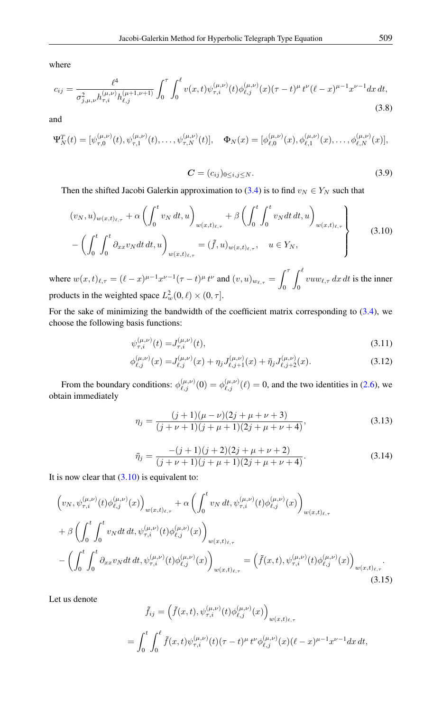<span id="page-5-4"></span>where

$$
c_{ij} = \frac{\ell^4}{\sigma_{j,\mu,\nu}^2 h_{\tau,i}^{(\mu,\nu)} h_{\ell,j}^{(\mu+1,\nu+1)}} \int_0^\tau \int_0^\ell v(x,t) \psi_{\tau,i}^{(\mu,\nu)}(t) \phi_{\ell,j}^{(\mu,\nu)}(x) (\tau - t)^\mu t^\nu (\ell - x)^{\mu-1} x^{\nu-1} dx dt,
$$
\n(3.8)

and

$$
\Psi_N^T(t) = [\psi_{\tau,0}^{(\mu,\nu)}(t), \psi_{\tau,1}^{(\mu,\nu)}(t), \dots, \psi_{\tau,N}^{(\mu,\nu)}(t)], \quad \Phi_N(x) = [\phi_{\ell,0}^{(\mu,\nu)}(x), \phi_{\ell,1}^{(\mu,\nu)}(x), \dots, \phi_{\ell,N}^{(\mu,\nu)}(x)],
$$

<span id="page-5-0"></span>
$$
\mathbf{C} = (c_{ij})_{0 \le i,j \le N}.\tag{3.9}
$$

Then the shifted Jacobi Galerkin approximation to [\(3.4\)](#page-4-4) is to find  $v_N \in Y_N$  such that

$$
(v_N, u)_{w(x,t)_{\ell,\tau}} + \alpha \left( \int_0^t v_N dt, u \right)_{w(x,t)_{\ell,\tau}} + \beta \left( \int_0^t \int_0^t v_N dt dt, u \right)_{w(x,t)_{\ell,\tau}} - \left( \int_0^t \int_0^t \partial_{xx} v_N dt dt, u \right)_{w(x,t)_{\ell,\tau}} = (\tilde{f}, u)_{w(x,t)_{\ell,\tau}}, \quad u \in Y_N,
$$
\n(3.10)

where  $w(x, t)_{\ell, \tau} = (\ell - x)^{\mu - 1} x^{\nu - 1} (\tau - t)^{\mu} t^{\nu}$  and  $(v, u)_{w_{\ell, \tau}} = \int^{\tau}$  $\boldsymbol{0}$  $\int_0^\ell$  $\int_0$  vuw<sub> $\ell, \tau$ </sub> dx dt is the inner products in the weighted space  $L^2_w(0, \ell) \times (0, \tau]$ .

For the sake of minimizing the bandwidth of the coefficient matrix corresponding to [\(3.4\)](#page-4-4), we choose the following basis functions:

$$
\psi_{\tau,i}^{(\mu,\nu)}(t) = J_{\tau,i}^{(\mu,\nu)}(t),\tag{3.11}
$$

<span id="page-5-3"></span><span id="page-5-2"></span>
$$
\phi_{\ell,j}^{(\mu,\nu)}(x) = J_{\ell,j}^{(\mu,\nu)}(x) + \eta_j J_{\ell,j+1}^{(\mu,\nu)}(x) + \bar{\eta}_j J_{\ell,j+2}^{(\mu,\nu)}(x). \tag{3.12}
$$

From the boundary conditions:  $\phi_{\ell,j}^{(\mu,\nu)}(0) = \phi_{\ell,j}^{(\mu,\nu)}(\ell) = 0$ , and the two identities in [\(2.6\)](#page-2-2), we obtain immediately

$$
\eta_j = \frac{(j+1)(\mu - \nu)(2j + \mu + \nu + 3)}{(j + \nu + 1)(j + \mu + 1)(2j + \mu + \nu + 4)},
$$
\n(3.13)

<span id="page-5-1"></span>
$$
\bar{\eta}_j = \frac{-(j+1)(j+2)(2j+\mu+\nu+2)}{(j+\nu+1)(j+\mu+1)(2j+\mu+\nu+4)}.\tag{3.14}
$$

It is now clear that  $(3.10)$  is equivalent to:

$$
\left(v_N, \psi_{\tau,i}^{(\mu,\nu)}(t)\phi_{\ell,j}^{(\mu,\nu)}(x)\right)_{w(x,t)_{\ell,\tau}} + \alpha \left(\int_0^t v_N dt, \psi_{\tau,i}^{(\mu,\nu)}(t)\phi_{\ell,j}^{(\mu,\nu)}(x)\right)_{w(x,t)_{\ell,\tau}} \n+ \beta \left(\int_0^t \int_0^t v_N dt dt, \psi_{\tau,i}^{(\mu,\nu)}(t)\phi_{\ell,j}^{(\mu,\nu)}(x)\right)_{w(x,t)_{\ell,\tau}} \n- \left(\int_0^t \int_0^t \partial_{xx}v_N dt dt, \psi_{\tau,i}^{(\mu,\nu)}(t)\phi_{\ell,j}^{(\mu,\nu)}(x)\right)_{w(x,t)_{\ell,\tau}} = \left(\tilde{f}(x,t), \psi_{\tau,i}^{(\mu,\nu)}(t)\phi_{\ell,j}^{(\mu,\nu)}(x)\right)_{w(x,t)_{\ell,\tau}}.
$$
\n(3.15)

Let us denote

$$
\tilde{f}_{ij} = \left( \tilde{f}(x,t), \psi_{\tau,i}^{(\mu,\nu)}(t) \phi_{\ell,j}^{(\mu,\nu)}(x) \right)_{w(x,t)_{\ell,\tau}}
$$
\n
$$
= \int_0^t \int_0^\ell \tilde{f}(x,t) \psi_{\tau,i}^{(\mu,\nu)}(t) (\tau - t)^\mu t^\nu \phi_{\ell,j}^{(\mu,\nu)}(x) (\ell - x)^{\mu - 1} x^{\nu - 1} dx dt,
$$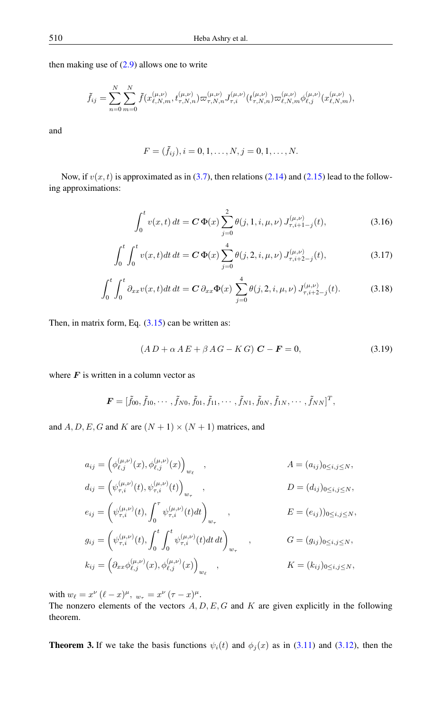then making use of  $(2.9)$  allows one to write

$$
\tilde{f}_{ij} = \sum_{n=0}^{N} \sum_{m=0}^{N} \tilde{f}(x_{\ell,N,m}^{(\mu,\nu)}, t_{\tau,N,n}^{(\mu,\nu)}) \varpi_{\tau,N,n}^{(\mu,\nu)} J_{\tau,i}^{(\mu,\nu)}(t_{\tau,N,n}^{(\mu,\nu)}) \varpi_{\ell,N,m}^{(\mu,\nu)} \phi_{\ell,j}^{(\mu,\nu)}(x_{\ell,N,m}^{(\mu,\nu)}),
$$

and

$$
F = (\tilde{f}_{ij}), i = 0, 1, \dots, N, j = 0, 1, \dots, N.
$$

Now, if  $v(x, t)$  is approximated as in [\(3.7\)](#page-4-5), then relations [\(2.14\)](#page-3-1) and [\(2.15\)](#page-3-2) lead to the following approximations:

$$
\int_0^t v(x,t) dt = \mathbf{C} \Phi(x) \sum_{j=0}^2 \theta(j, 1, i, \mu, \nu) J_{\tau, i+1-j}^{(\mu, \nu)}(t),
$$
\n(3.16)

$$
\int_0^t \int_0^t v(x,t)dt dt = \mathbf{C} \Phi(x) \sum_{j=0}^4 \theta(j,2,i,\mu,\nu) J_{\tau,i+2-j}^{(\mu,\nu)}(t),
$$
\n(3.17)

$$
\int_0^t \int_0^t \partial_{xx} v(x,t) dt dt = \mathbf{C} \, \partial_{xx} \Phi(x) \sum_{j=0}^4 \theta(j,2,i,\mu,\nu) J_{\tau,i+2-j}^{(\mu,\nu)}(t).
$$
 (3.18)

Then, in matrix form, Eq.  $(3.15)$  can be written as:

$$
(AD + \alpha AE + \beta AG - KG) \mathbf{C} - \mathbf{F} = 0, \tag{3.19}
$$

where  $\boldsymbol{F}$  is written in a column vector as

$$
\boldsymbol{F} = [\tilde{f}_{00}, \tilde{f}_{10}, \cdots, \tilde{f}_{N0}, \tilde{f}_{01}, \tilde{f}_{11}, \cdots, \tilde{f}_{N1}, \tilde{f}_{0N}, \tilde{f}_{1N}, \cdots, \tilde{f}_{NN}]^T,
$$

and A, D, E, G and K are  $(N + 1) \times (N + 1)$  matrices, and

$$
a_{ij} = \left(\phi_{\ell,j}^{(\mu,\nu)}(x), \phi_{\ell,j}^{(\mu,\nu)}(x)\right)_{w_{\ell}},
$$
\n
$$
d_{ij} = \left(\psi_{\tau,i}^{(\mu,\nu)}(t), \psi_{\tau,i}^{(\mu,\nu)}(t)\right)_{w_{\tau}},
$$
\n
$$
D = (d_{ij})_{0 \le i,j \le N},
$$
\n
$$
e_{ij} = \left(\psi_{\tau,i}^{(\mu,\nu)}(t), \int_{0}^{\tau} \psi_{\tau,i}^{(\mu,\nu)}(t) dt\right)_{w_{\tau}},
$$
\n
$$
E = (e_{ij})_{0 \le i,j \le N},
$$
\n
$$
g_{ij} = \left(\psi_{\tau,i}^{(\mu,\nu)}(t), \int_{0}^{t} \int_{0}^{t} \psi_{\tau,i}^{(\mu,\nu)}(t) dt dt\right)_{w_{\tau}},
$$
\n
$$
G = (g_{ij})_{0 \le i,j \le N},
$$
\n
$$
k_{ij} = \left(\partial_{xx} \phi_{\ell,j}^{(\mu,\nu)}(x), \phi_{\ell,j}^{(\mu,\nu)}(x)\right)_{w_{\ell}},
$$
\n
$$
K = (k_{ij})_{0 \le i,j \le N},
$$

with  $w_{\ell} = x^{\nu} (\ell - x)^{\mu}$ ,  $w_{\tau} = x^{\nu} (\tau - x)^{\mu}$ .

The nonzero elements of the vectors  $A, D, E, G$  and  $K$  are given explicitly in the following theorem.

**Theorem 3.** If we take the basis functions  $\psi_i(t)$  and  $\phi_j(x)$  as in [\(3.11\)](#page-5-2) and [\(3.12\)](#page-5-3), then the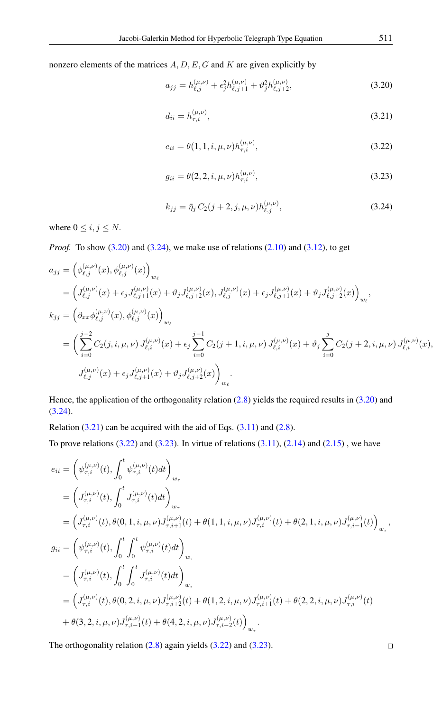nonzero elements of the matrices  $A, D, E, G$  and  $K$  are given explicitly by

<span id="page-7-0"></span>
$$
a_{jj} = h_{\ell,j}^{(\mu,\nu)} + \epsilon_j^2 h_{\ell,j+1}^{(\mu,\nu)} + \vartheta_j^2 h_{\ell,j+2}^{(\mu,\nu)},\tag{3.20}
$$

$$
d_{ii} = h_{\tau,i}^{(\mu,\nu)},\tag{3.21}
$$

$$
e_{ii} = \theta(1, 1, i, \mu, \nu) h_{\tau, i}^{(\mu, \nu)}, \tag{3.22}
$$

$$
g_{ii} = \theta(2, 2, i, \mu, \nu) h_{\tau, i}^{(\mu, \nu)}, \tag{3.23}
$$

$$
k_{jj} = \bar{\eta}_j C_2(j+2, j, \mu, \nu) h_{\ell, j}^{(\mu, \nu)},
$$
\n(3.24)

where  $0 \le i, j \le N$ .

*Proof.* To show [\(3.20\)](#page-7-0) and [\(3.24\)](#page-7-0), we make use of relations [\(2.10\)](#page-3-3) and [\(3.12\)](#page-5-3), to get

$$
a_{jj} = (\phi_{\ell,j}^{(\mu,\nu)}(x), \phi_{\ell,j}^{(\mu,\nu)}(x))_{w_{\ell}}
$$
  
\n
$$
= (J_{\ell,j}^{(\mu,\nu)}(x) + \epsilon_j J_{\ell,j+1}^{(\mu,\nu)}(x) + \vartheta_j J_{\ell,j+2}^{(\mu,\nu)}(x), J_{\ell,j}^{(\mu,\nu)}(x) + \epsilon_j J_{\ell,j+1}^{(\mu,\nu)}(x) + \vartheta_j J_{\ell,j+2}^{(\mu,\nu)}(x))_{w_{\ell}},
$$
  
\n
$$
k_{jj} = (\partial_{xx}\phi_{\ell,j}^{(\mu,\nu)}(x), \phi_{\ell,j}^{(\mu,\nu)}(x))_{w_{\ell}}
$$
  
\n
$$
= (\sum_{i=0}^{j-2} C_2(j,i,\mu,\nu) J_{\ell,i}^{(\mu,\nu)}(x) + \epsilon_j \sum_{i=0}^{j-1} C_2(j+1,i,\mu,\nu) J_{\ell,i}^{(\mu,\nu)}(x) + \vartheta_j \sum_{i=0}^{j} C_2(j+2,i,\mu,\nu) J_{\ell,i}^{(\mu,\nu)}(x),
$$
  
\n
$$
J_{\ell,j}^{(\mu,\nu)}(x) + \epsilon_j J_{\ell,j+1}^{(\mu,\nu)}(x) + \vartheta_j J_{\ell,j+2}^{(\mu,\nu)}(x))_{w_{\ell}}
$$

Hence, the application of the orthogonality relation  $(2.8)$  yields the required results in  $(3.20)$  and [\(3.24\)](#page-7-0).

Relation  $(3.21)$  can be acquired with the aid of Eqs.  $(3.11)$  and  $(2.8)$ .

To prove relations  $(3.22)$  and  $(3.23)$ . In virtue of relations  $(3.11)$ ,  $(2.14)$  and  $(2.15)$ , we have

$$
e_{ii} = \left(\psi_{\tau,i}^{(\mu,\nu)}(t), \int_0^t \psi_{\tau,i}^{(\mu,\nu)}(t) dt\right)_{w_{\tau}}
$$
  
\n
$$
= \left(J_{\tau,i}^{(\mu,\nu)}(t), \int_0^t J_{\tau,i}^{(\mu,\nu)}(t) dt\right)_{w_{\tau}}
$$
  
\n
$$
= \left(J_{\tau,i}^{(\mu,\nu)}(t), \theta(0,1,i,\mu,\nu)J_{\tau,i+1}^{(\mu,\nu)}(t) + \theta(1,1,i,\mu,\nu)J_{\tau,i}^{(\mu,\nu)}(t) + \theta(2,1,i,\mu,\nu)J_{\tau,i-1}^{(\mu,\nu)}(t)\right)_{w_{\tau}}
$$
  
\n
$$
g_{ii} = \left(\psi_{\tau,i}^{(\mu,\nu)}(t), \int_0^t \int_0^t \psi_{\tau,i}^{(\mu,\nu)}(t) dt\right)_{w_{\tau}}
$$
  
\n
$$
= \left(J_{\tau,i}^{(\mu,\nu)}(t), \int_0^t \int_0^t J_{\tau,i}^{(\mu,\nu)}(t) dt\right)_{w_{\tau}}
$$
  
\n
$$
= \left(J_{\tau,i}^{(\mu,\nu)}(t), \theta(0,2,i,\mu,\nu)J_{\tau,i+2}^{(\mu,\nu)}(t) + \theta(1,2,i,\mu,\nu)J_{\tau,i+1}^{(\mu,\nu)}(t) + \theta(2,2,i,\mu,\nu)J_{\tau,i}^{(\mu,\nu)}(t) + \theta(3,2,i,\mu,\nu)J_{\tau,i-1}^{(\mu,\nu)}(t) + \theta(4,2,i,\mu,\nu)J_{\tau,i-2}^{(\mu,\nu)}(t)\right)_{w_{\tau}}
$$

The orthogonality relation  $(2.8)$  again yields  $(3.22)$  and  $(3.23)$ .

 $\Box$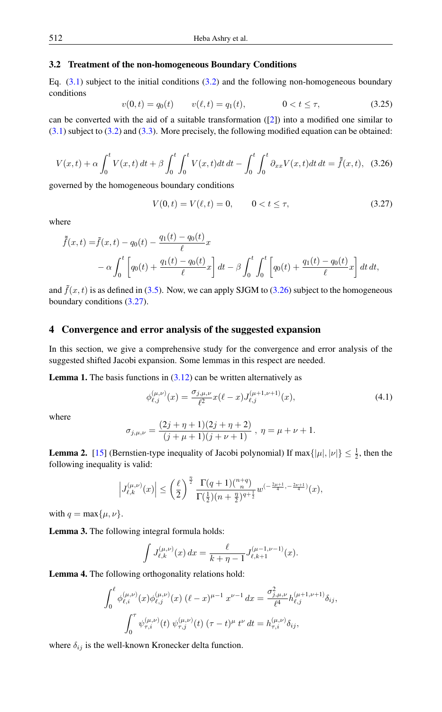### <span id="page-8-7"></span>3.2 Treatment of the non-homogeneous Boundary Conditions

Eq.  $(3.1)$  subject to the initial conditions  $(3.2)$  and the following non-homogeneous boundary conditions

<span id="page-8-6"></span>
$$
v(0,t) = q_0(t) \qquad v(\ell,t) = q_1(t), \qquad 0 < t \le \tau,\tag{3.25}
$$

can be converted with the aid of a suitable transformation  $(2)$ ) into a modified one similar to [\(3.1\)](#page-4-1) subject to [\(3.2\)](#page-4-2) and [\(3.3\)](#page-4-3). More precisely, the following modified equation can be obtained:

<span id="page-8-1"></span>
$$
V(x,t) + \alpha \int_0^t V(x,t) dt + \beta \int_0^t \int_0^t V(x,t) dt dt - \int_0^t \int_0^t \partial_{xx} V(x,t) dt dt = \tilde{\tilde{f}}(x,t), \quad (3.26)
$$

governed by the homogeneous boundary conditions

<span id="page-8-2"></span>
$$
V(0,t) = V(\ell,t) = 0, \qquad 0 < t \le \tau,\tag{3.27}
$$

where

$$
\tilde{f}(x,t) = \tilde{f}(x,t) - q_0(t) - \frac{q_1(t) - q_0(t)}{\ell}x
$$
  
 
$$
- \alpha \int_0^t \left[ q_0(t) + \frac{q_1(t) - q_0(t)}{\ell} x \right] dt - \beta \int_0^t \int_0^t \left[ q_0(t) + \frac{q_1(t) - q_0(t)}{\ell} x \right] dt dt,
$$

and  $\tilde{f}(x, t)$  is as defined in [\(3.5\)](#page-4-6). Now, we can apply SJGM to [\(3.26\)](#page-8-1) subject to the homogeneous boundary conditions [\(3.27\)](#page-8-2).

# <span id="page-8-0"></span>4 Convergence and error analysis of the suggested expansion

In this section, we give a comprehensive study for the convergence and error analysis of the suggested shifted Jacobi expansion. Some lemmas in this respect are needed.

**Lemma 1.** The basis functions in  $(3.12)$  can be written alternatively as

<span id="page-8-4"></span>
$$
\phi_{\ell,j}^{(\mu,\nu)}(x) = \frac{\sigma_{j,\mu,\nu}}{\ell^2} x(\ell-x) J_{\ell,j}^{(\mu+1,\nu+1)}(x),\tag{4.1}
$$

where

$$
\sigma_{j,\mu,\nu} = \frac{(2j+\eta+1)(2j+\eta+2)}{(j+\mu+1)(j+\nu+1)}, \ \eta = \mu+\nu+1.
$$

<span id="page-8-3"></span>**Lemma 2.** [\[15\]](#page-13-22) (Bernstien-type inequality of Jacobi polynomial) If max $\{|\mu|, |\nu|\} \leq \frac{1}{2}$ , then the following inequality is valid:

$$
\Big|J_{\ell,k}^{(\mu,\nu)}(x)\Big|\leq \left(\frac{\ell}{2}\right)^{\frac{\eta}{2}}\frac{\Gamma(q+1)\binom{n+q}{n}}{\Gamma(\frac{1}{2})(n+\frac{\eta}{2})^{q+\frac{1}{2}}}w^{(-\frac{2\mu+1}{4},-\frac{2\nu+1}{4})}(x),
$$

with  $q = \max\{\mu, \nu\}.$ 

Lemma 3. The following integral formula holds:

$$
\int J_{\ell,k}^{(\mu,\nu)}(x) dx = \frac{\ell}{k+\eta-1} J_{\ell,k+1}^{(\mu-1,\nu-1)}(x).
$$

<span id="page-8-5"></span>Lemma 4. The following orthogonality relations hold:

$$
\int_0^\ell \phi_{\ell,i}^{(\mu,\nu)}(x)\phi_{\ell,j}^{(\mu,\nu)}(x) \ (\ell-x)^{\mu-1} \ x^{\nu-1} \ dx = \frac{\sigma_{j,\mu,\nu}^2}{\ell^4} h_{\ell,j}^{(\mu+1,\nu+1)} \delta_{ij},
$$

$$
\int_0^\tau \psi_{\tau,i}^{(\mu,\nu)}(t) \ \psi_{\tau,j}^{(\mu,\nu)}(t) \ (\tau-t)^{\mu} \ t^{\nu} \ dt = h_{\tau,i}^{(\mu,\nu)} \delta_{ij},
$$

where  $\delta_{ij}$  is the well-known Kronecker delta function.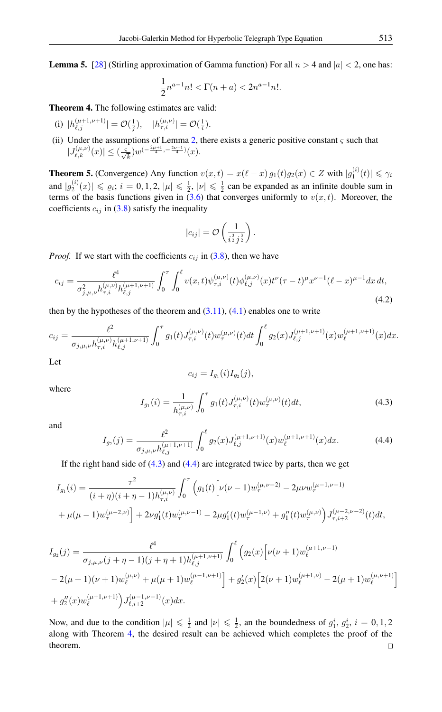**Lemma 5.** [\[28\]](#page-14-13) (Stirling approximation of Gamma function) For all  $n > 4$  and  $|a| < 2$ , one has:

$$
\frac{1}{2}n^{a-1}n! < \Gamma(n+a) < 2n^{a-1}n!.
$$

<span id="page-9-2"></span>Theorem 4. The following estimates are valid:

- (i)  $|h_{\ell,j}^{(\mu+1,\nu+1)}| = \mathcal{O}(\frac{1}{j}), \quad |h_{\tau,i}^{(\mu,\nu)}| = \mathcal{O}(\frac{1}{i}).$
- (ii) Under the assumptions of Lemma [2,](#page-8-3) there exists a generic positive constant  $\varsigma$  such that  $|J_{\ell,k}^{(\mu,\nu)}(x)| \leq (\frac{\varsigma}{\sqrt{k}})w^{(-\frac{2\mu+1}{4},-\frac{2\nu+1}{4})}(x).$

<span id="page-9-3"></span>**Theorem 5.** (Convergence) Any function  $v(x,t) = x(\ell - x) g_1(t) g_2(x) \in Z$  with  $|g_1^{(i)}|$  $\gamma_1^{(i)}(t) \leq \gamma_i$ and  $|g_2^{(i)}\>$  $|2^{(i)}(x)| \leq \varrho_i$ ;  $i = 0, 1, 2, |\mu| \leq \frac{1}{2}$ ,  $|\nu| \leq \frac{1}{2}$  can be expanded as an infinite double sum in terms of the basis functions given in  $(3.6)$  that converges uniformly to  $v(x, t)$ . Moreover, the coefficients  $c_{ij}$  in [\(3.8\)](#page-5-4) satisfy the inequality

$$
|c_{ij}| = \mathcal{O}\left(\frac{1}{i^{\frac{3}{2}}j^{\frac{3}{2}}}\right).
$$

*Proof.* If we start with the coefficients  $c_{ij}$  in [\(3.8\)](#page-5-4), then we have

$$
c_{ij} = \frac{\ell^4}{\sigma_{j,\mu,\nu}^2 h_{\tau,i}^{(\mu,\nu)} h_{\ell,j}^{(\mu+1,\nu+1)}} \int_0^\tau \int_0^\ell v(x,t) \psi_{\tau,i}^{(\mu,\nu)}(t) \phi_{\ell,j}^{(\mu,\nu)}(x) t^\nu (\tau - t)^\mu x^{\nu-1} (\ell - x)^{\mu-1} dx dt,
$$
\n(4.2)

then by the hypotheses of the theorem and  $(3.11)$ ,  $(4.1)$  enables one to write

$$
c_{ij} = \frac{\ell^2}{\sigma_{j,\mu,\nu} h_{\tau,i}^{(\mu,\nu)} h_{\ell,j}^{(\mu+1,\nu+1)}} \int_0^\tau g_1(t) J_{\tau,i}^{(\mu,\nu)}(t) w_\tau^{(\mu,\nu)}(t) dt \int_0^\ell g_2(x) J_{\ell,j}^{(\mu+1,\nu+1)}(x) w_\ell^{(\mu+1,\nu+1)}(x) dx.
$$

Let

<span id="page-9-0"></span>
$$
c_{ij} = I_{g_1}(i)I_{g_2}(j),
$$

where

$$
I_{g_1}(i) = \frac{1}{h_{\tau,i}^{(\mu,\nu)}} \int_0^\tau g_1(t) J_{\tau,i}^{(\mu,\nu)}(t) w_\tau^{(\mu,\nu)}(t) dt,
$$
\n(4.3)

<span id="page-9-1"></span>and

$$
I_{g_2}(j) = \frac{\ell^2}{\sigma_{j,\mu,\nu} h_{\ell,j}^{(\mu+1,\nu+1)}} \int_0^\ell g_2(x) J_{\ell,j}^{(\mu+1,\nu+1)}(x) w_\ell^{(\mu+1,\nu+1)}(x) dx.
$$
 (4.4)

If the right hand side of  $(4.3)$  and  $(4.4)$  are integrated twice by parts, then we get

$$
I_{g_1}(i) = \frac{\tau^2}{(i+\eta)(i+\eta-1)h_{\tau,i}^{(\mu,\nu)}} \int_0^\tau \left( g_1(t) \left[ \nu(\nu-1) w_\tau^{(\mu,\nu-2)} - 2\mu\nu w_\tau^{(\mu-1,\nu-1)} \right. \right.+ \mu(\mu-1) w_\tau^{(\mu-2,\nu)} \left[ + 2\nu g_1'(t) w_\tau^{(\mu,\nu-1)} - 2\mu g_1'(t) w_\tau^{(\mu-1,\nu)} + g_1''(t) w_\tau^{(\mu,\nu)} \right) J_{\tau,i+2}^{(\mu-2,\nu-2)}(t) dt,
$$

$$
I_{g_2}(j) = \frac{\ell^4}{\sigma_{j,\mu,\nu}(j+\eta-1)(j+\eta+1)h_{\ell,j}^{(\mu+1,\nu+1)}} \int_0^{\ell} \left(g_2(x)\left[\nu(\nu+1)w_{\ell}^{(\mu+1,\nu-1)}\right.\right.-2(\mu+1)(\nu+1)w_{\ell}^{(\mu,\nu)} + \mu(\mu+1)w_{\ell}^{(\mu-1,\nu+1)}\right] + g_2'(x)\left[2(\nu+1)w_{\ell}^{(\mu+1,\nu)} - 2(\mu+1)w_{\ell}^{(\mu,\nu+1)}\right]+g_2''(x)w_{\ell}^{(\mu+1,\nu+1)}\right)J_{\ell,\nu+2}^{(\mu-1,\nu-1)}(x)dx.
$$

Now, and due to the condition  $|\mu| \leq \frac{1}{2}$  and  $|\nu| \leq \frac{1}{2}$ , an the boundedness of  $g_1^i$ ,  $g_2^i$ ,  $i = 0, 1, 2$ along with Theorem [4,](#page-9-2) the desired result can be achieved which completes the proof of the theorem. $\Box$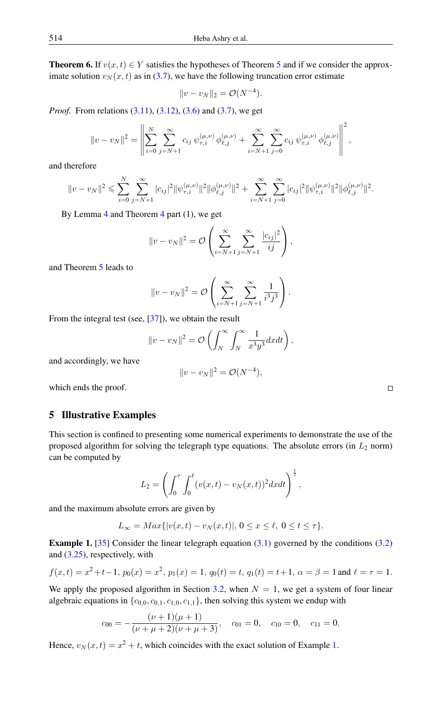**Theorem 6.** If  $v(x, t) \in Y$  satisfies the hypotheses of Theorem [5](#page-9-3) and if we consider the approximate solution  $v_N(x, t)$  as in [\(3.7\)](#page-4-5), we have the following truncation error estimate

$$
||v - v_N||_2 = \mathcal{O}(N^{-4}).
$$

*Proof.* From relations [\(3.11\)](#page-5-2), [\(3.12\)](#page-5-3), [\(3.6\)](#page-4-7) and [\(3.7\)](#page-4-5), we get

$$
||v - v_N||^2 = \left\| \sum_{i=0}^N \sum_{j=N+1}^\infty c_{ij} \, \psi_{\tau,i}^{(\mu,\nu)} \, \phi_{\ell,j}^{(\mu,\nu)} + \sum_{i=N+1}^\infty \sum_{j=0}^\infty c_{ij} \, \psi_{\tau,i}^{(\mu,\nu)} \, \phi_{\ell,j}^{(\mu,\nu)} \right\|^2,
$$

and therefore

$$
||v - v_N||^2 \leq \sum_{i=0}^N \sum_{j=N+1}^\infty |c_{ij}|^2 ||\psi_{\tau,i}^{(\mu,\nu)}||^2 ||\phi_{\ell,j}^{(\mu,\nu)}||^2 + \sum_{i=N+1}^\infty \sum_{j=0}^\infty |c_{ij}|^2 ||\psi_{\tau,i}^{(\mu,\nu)}||^2 ||\phi_{\ell,j}^{(\mu,\nu)}||^2.
$$

By Lemma [4](#page-8-5) and Theorem [4](#page-9-2) part (1), we get

$$
||v - v_N||^2 = O\left(\sum_{i=N+1}^{\infty} \sum_{j=N+1}^{\infty} \frac{|c_{ij}|^2}{ij}\right),
$$

and Theorem [5](#page-9-3) leads to

$$
||v - v_N||^2 = O\left(\sum_{i=N+1}^{\infty} \sum_{j=N+1}^{\infty} \frac{1}{i^3 j^3}\right).
$$

From the integral test (see, [\[37\]](#page-14-14)), we obtain the result

$$
||v - v_N||^2 = \mathcal{O}\left(\int_N^{\infty} \int_N^{\infty} \frac{1}{x^3 y^3} dxdt\right),\,
$$

and accordingly, we have

$$
||v - v_N||^2 = \mathcal{O}(N^{-4}),
$$

which ends the proof.

# <span id="page-10-0"></span>5 Illustrative Examples

This section is confined to presenting some numerical experiments to demonstrate the use of the proposed algorithm for solving the telegraph type equations. The absolute errors (in  $L_2$  norm) can be computed by

$$
L_2 = \left( \int_0^{\tau} \int_0^{\ell} (v(x,t) - v_N(x,t))^2 dxdt \right)^{\frac{1}{2}},
$$

and the maximum absolute errors are given by

$$
L_{\infty} = Max\{|v(x,t) - v_N(x,t)|, 0 \le x \le \ell, 0 \le t \le \tau\}.
$$

<span id="page-10-1"></span>**Example 1.** [\[35\]](#page-14-12) Consider the linear telegraph equation  $(3.1)$  governed by the conditions  $(3.2)$ and [\(3.25\)](#page-8-6), respectively, with

$$
f(x,t) = x^2 + t - 1
$$
,  $p_0(x) = x^2$ ,  $p_1(x) = 1$ ,  $q_0(t) = t$ ,  $q_1(t) = t + 1$ ,  $\alpha = \beta = 1$  and  $\ell = \tau = 1$ .

We apply the proposed algorithm in Section [3.2,](#page-8-7) when  $N = 1$ , we get a system of four linear algebraic equations in  $\{c_{0,0}, c_{0,1}, c_{1,0}, c_{1,1}\}$ , then solving this system we endup with

$$
c_{00} = -\frac{(\nu+1)(\mu+1)}{(\nu+\mu+2)(\nu+\mu+3)}, \quad c_{01} = 0, \quad c_{10} = 0, \quad c_{11} = 0.
$$

Hence,  $v_N(x,t) = x^2 + t$ , which coincides with the exact solution of Example [1.](#page-10-1)

 $\Box$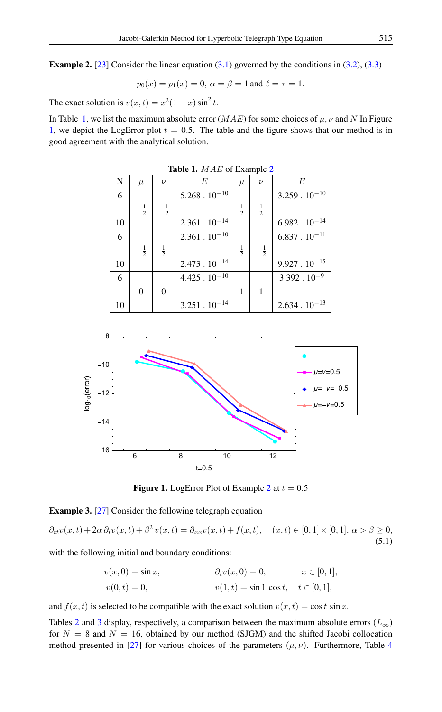<span id="page-11-2"></span>**Example 2.** [\[23\]](#page-13-23) Consider the linear equation  $(3.1)$  governed by the conditions in  $(3.2)$ ,  $(3.3)$ 

$$
p_0(x) = p_1(x) = 0, \ \alpha = \beta = 1 \text{ and } \ell = \tau = 1.
$$

The exact solution is  $v(x,t) = x^2(1-x)\sin^2 t$ .

In Table [1,](#page-11-0) we list the maximum absolute error  $(MAE)$  for some choices of  $\mu$ ,  $\nu$  and N In Figure [1,](#page-11-1) we depict the LogError plot  $t = 0.5$ . The table and the figure shows that our method is in good agreement with the analytical solution.

<span id="page-11-0"></span>

| <b>Table 1.</b> MAE of Example 2 |                |                  |                        |               |                |                        |  |  |
|----------------------------------|----------------|------------------|------------------------|---------------|----------------|------------------------|--|--|
| N                                | $\mu$          | $\nu$            | $F_{i}$                | $\mu$         | $\nu$          | $F_{i}$                |  |  |
| 6                                |                |                  | $5.268 \cdot 10^{-10}$ |               |                | $3.259 \cdot 10^{-10}$ |  |  |
|                                  | $-\frac{1}{2}$ | $-\frac{1}{2}$   |                        | $\frac{1}{2}$ | $\frac{1}{2}$  |                        |  |  |
| 10                               |                |                  | $2.361 \cdot 10^{-14}$ |               |                | $6.982 \cdot 10^{-14}$ |  |  |
| 6                                |                |                  | $2.361 \cdot 10^{-10}$ |               |                | $6.837 \cdot 10^{-11}$ |  |  |
|                                  | $-\frac{1}{2}$ | $\frac{1}{2}$    |                        | $\frac{1}{2}$ | $-\frac{1}{2}$ |                        |  |  |
| 10                               |                |                  | $2.473 \cdot 10^{-14}$ |               |                | $9.927 \cdot 10^{-15}$ |  |  |
| 6                                |                |                  | $4.425 \cdot 10^{-10}$ |               |                | $3.392 \cdot 10^{-9}$  |  |  |
|                                  | $\theta$       | $\boldsymbol{0}$ |                        | 1             | 1              |                        |  |  |
| 10                               |                |                  | $3.251 \cdot 10^{-14}$ |               |                | $2.634 \cdot 10^{-13}$ |  |  |

● ● ● ● ■ ■ ■ ■ ◆ ◆ ◆ ◆ ▲ ▲ ▲ ▲ 6 8 10 12  $-16$  $-14$  $-12$  $-10$ 8  $t = 0.5$ log<sub>10</sub> (error)  $(1 - v) - 0.5$  $\bigcap F$  $u = v = 0.5$ ●

<span id="page-11-1"></span>**Figure 1.** LogError Plot of Example [2](#page-11-2) at  $t = 0.5$ 

<span id="page-11-3"></span>Example 3. [\[27\]](#page-14-11) Consider the following telegraph equation

 $\partial_{tt}v(x,t) + 2\alpha \partial_t v(x,t) + \beta^2 v(x,t) = \partial_{xx}v(x,t) + f(x,t), \quad (x,t) \in [0,1] \times [0,1], \ \alpha > \beta \ge 0,$ (5.1)

with the following initial and boundary conditions:

$$
v(x, 0) = \sin x, \qquad \qquad \partial_t v(x, 0) = 0, \qquad x \in [0, 1],
$$
  

$$
v(0, t) = 0, \qquad v(1, t) = \sin 1 \cos t, \quad t \in [0, 1],
$$

and  $f(x, t)$  is selected to be compatible with the exact solution  $v(x, t) = \cos t \sin x$ .

Tables [2](#page-12-0) and [3](#page-12-1) display, respectively, a comparison between the maximum absolute errors ( $L_{\infty}$ ) for  $N = 8$  and  $N = 16$ , obtained by our method (SJGM) and the shifted Jacobi collocation method presented in [\[27\]](#page-14-11) for various choices of the parameters  $(\mu, \nu)$ . Furthermore, Table [4](#page-12-2)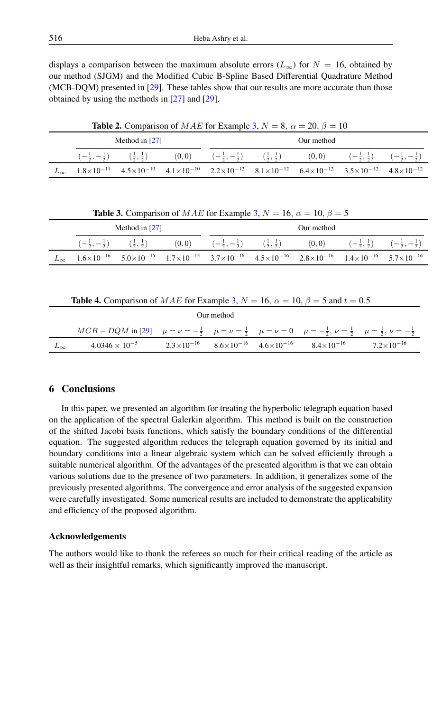displays a comparison between the maximum absolute errors ( $L_{\infty}$ ) for  $N = 16$ , obtained by our method (SJGM) and the Modified Cubic B-Spline Based Differential Quadrature Method (MCB-DQM) presented in [\[29\]](#page-14-15). These tables show that our results are more accurate than those obtained by using the methods in [\[27\]](#page-14-11) and [\[29\]](#page-14-15).

<span id="page-12-0"></span>

| <b>Table 2.</b> Comparison of <i>MAE</i> for Example 3, $N = 8$ , $\alpha = 20$ , $\beta = 10$ |  |  |            |  |  |                                                                                                                                                                                                                                                                                                |  |  |  |
|------------------------------------------------------------------------------------------------|--|--|------------|--|--|------------------------------------------------------------------------------------------------------------------------------------------------------------------------------------------------------------------------------------------------------------------------------------------------|--|--|--|
| Method in $[27]$                                                                               |  |  | Our method |  |  |                                                                                                                                                                                                                                                                                                |  |  |  |
|                                                                                                |  |  |            |  |  | $\left(-\frac{1}{2}, -\frac{1}{2}\right)$ $\left(\frac{1}{2}, \frac{1}{2}\right)$ $\left(0, 0\right)$ $\left(-\frac{1}{2}, -\frac{1}{2}\right)$ $\left(\frac{1}{2}, \frac{1}{2}\right)$ $\left(0, 0\right)$ $\left(-\frac{1}{2}, \frac{1}{2}\right)$ $\left(-\frac{1}{2}, -\frac{1}{2}\right)$ |  |  |  |
|                                                                                                |  |  |            |  |  | $L_{\infty}$ $1.8 \times 10^{-11}$ $4.5 \times 10^{-10}$ $4.1 \times 10^{-10}$ $2.2 \times 10^{-12}$ $8.1 \times 10^{-12}$ $6.4 \times 10^{-12}$ $3.5 \times 10^{-12}$ $4.8 \times 10^{-12}$                                                                                                   |  |  |  |

<span id="page-12-1"></span>

| <b>Table 3.</b> Comparison of <i>MAE</i> for Example 3, $N = 16$ , $\alpha = 10$ , $\beta = 5$ |  |
|------------------------------------------------------------------------------------------------|--|
|------------------------------------------------------------------------------------------------|--|

| Method in $[27]$                                                                                                                                                                             |                                                                                   |       | Our method                                                                        |  |                                                                                          |  |  |  |
|----------------------------------------------------------------------------------------------------------------------------------------------------------------------------------------------|-----------------------------------------------------------------------------------|-------|-----------------------------------------------------------------------------------|--|------------------------------------------------------------------------------------------|--|--|--|
|                                                                                                                                                                                              | $\left(-\frac{1}{2}, -\frac{1}{2}\right)$ $\left(\frac{1}{2}, \frac{1}{2}\right)$ | (0,0) | $\left(-\frac{1}{2}, -\frac{1}{2}\right)$ $\left(\frac{1}{2}, \frac{1}{2}\right)$ |  | $(0,0)$ $\left(-\frac{1}{2},\frac{1}{2}\right)$ $\left(-\frac{1}{2},-\frac{1}{2}\right)$ |  |  |  |
| $L_{\infty}$ $1.6 \times 10^{-16}$ $5.0 \times 10^{-15}$ $1.7 \times 10^{-15}$ $3.7 \times 10^{-16}$ $4.5 \times 10^{-16}$ $2.8 \times 10^{-16}$ $1.4 \times 10^{-16}$ $5.7 \times 10^{-16}$ |                                                                                   |       |                                                                                   |  |                                                                                          |  |  |  |

<span id="page-12-2"></span>**Table 4.** Comparison of MAE for Example [3,](#page-11-3)  $N = 16$ ,  $\alpha = 10$ ,  $\beta = 5$  and  $t = 0.5$ 

|              | Our method                                                                                                                                                                   |  |  |  |                                                                                 |                       |  |  |  |
|--------------|------------------------------------------------------------------------------------------------------------------------------------------------------------------------------|--|--|--|---------------------------------------------------------------------------------|-----------------------|--|--|--|
|              | MCB – DQM in [29] $\mu = \nu = -\frac{1}{2}$ $\mu = \nu = \frac{1}{2}$ $\mu = \nu = 0$ $\mu = -\frac{1}{2}$ , $\nu = \frac{1}{2}$ $\mu = \frac{1}{2}$ , $\nu = -\frac{1}{2}$ |  |  |  |                                                                                 |                       |  |  |  |
| $L_{\infty}$ | $4.0346 \times 10^{-5}$                                                                                                                                                      |  |  |  | $2.3\times10^{-16}$ $8.6\times10^{-16}$ $4.6\times10^{-16}$ $8.4\times10^{-16}$ | $7.2 \times 10^{-16}$ |  |  |  |

# 6 Conclusions

In this paper, we presented an algorithm for treating the hyperbolic telegraph equation based on the application of the spectral Galerkin algorithm. This method is built on the construction of the shifted Jacobi basis functions, which satisfy the boundary conditions of the differential equation. The suggested algorithm reduces the telegraph equation governed by its initial and boundary conditions into a linear algebraic system which can be solved efficiently through a suitable numerical algorithm. Of the advantages of the presented algorithm is that we can obtain various solutions due to the presence of two parameters. In addition, it generalizes some of the previously presented algorithms. The convergence and error analysis of the suggested expansion were carefully investigated. Some numerical results are included to demonstrate the applicability and efficiency of the proposed algorithm.

# Acknowledgements

The authors would like to thank the referees so much for their critical reading of the article as well as their insightful remarks, which significantly improved the manuscript.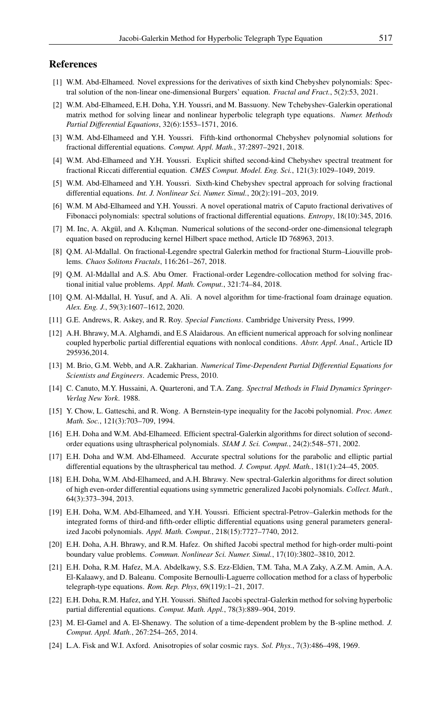# <span id="page-13-0"></span>References

- <span id="page-13-7"></span>[1] W.M. Abd-Elhameed. Novel expressions for the derivatives of sixth kind Chebyshev polynomials: Spectral solution of the non-linear one-dimensional Burgers' equation. *Fractal and Fract.*, 5(2):53, 2021.
- <span id="page-13-16"></span>[2] W.M. Abd-Elhameed, E.H. Doha, Y.H. Youssri, and M. Bassuony. New Tchebyshev-Galerkin operational matrix method for solving linear and nonlinear hyperbolic telegraph type equations. *Numer. Methods Partial Differential Equations*, 32(6):1553–1571, 2016.
- <span id="page-13-10"></span>[3] W.M. Abd-Elhameed and Y.H. Youssri. Fifth-kind orthonormal Chebyshev polynomial solutions for fractional differential equations. *Comput. Appl. Math.*, 37:2897–2921, 2018.
- <span id="page-13-12"></span>[4] W.M. Abd-Elhameed and Y.H. Youssri. Explicit shifted second-kind Chebyshev spectral treatment for fractional Riccati differential equation. *CMES Comput. Model. Eng. Sci.*, 121(3):1029–1049, 2019.
- <span id="page-13-11"></span>[5] W.M. Abd-Elhameed and Y.H. Youssri. Sixth-kind Chebyshev spectral approach for solving fractional differential equations. *Int. J. Nonlinear Sci. Numer. Simul.*, 20(2):191–203, 2019.
- <span id="page-13-13"></span>[6] W.M. M Abd-Elhameed and Y.H. Youssri. A novel operational matrix of Caputo fractional derivatives of Fibonacci polynomials: spectral solutions of fractional differential equations. *Entropy*, 18(10):345, 2016.
- [7] M. Inc, A. Akgül, and A. Kılıçman. Numerical solutions of the second-order one-dimensional telegraph equation based on reproducing kernel Hilbert space method, Article ID 768963, 2013.
- <span id="page-13-6"></span>[8] Q.M. Al-Mdallal. On fractional-Legendre spectral Galerkin method for fractional Sturm–Liouville problems. *Chaos Solitons Fractals*, 116:261–267, 2018.
- <span id="page-13-5"></span>[9] Q.M. Al-Mdallal and A.S. Abu Omer. Fractional-order Legendre-collocation method for solving fractional initial value problems. *Appl. Math. Comput.*, 321:74–84, 2018.
- <span id="page-13-4"></span>[10] Q.M. Al-Mdallal, H. Yusuf, and A. Ali. A novel algorithm for time-fractional foam drainage equation. *Alex. Eng. J.*, 59(3):1607–1612, 2020.
- <span id="page-13-19"></span>[11] G.E. Andrews, R. Askey, and R. Roy. *Special Functions*. Cambridge University Press, 1999.
- <span id="page-13-17"></span>[12] A.H. Bhrawy, M.A. Alghamdi, and E.S Alaidarous. An efficient numerical approach for solving nonlinear coupled hyperbolic partial differential equations with nonlocal conditions. *Abstr. Appl. Anal.*, Article ID 295936,2014.
- <span id="page-13-1"></span>[13] M. Brio, G.M. Webb, and A.R. Zakharian. *Numerical Time-Dependent Partial Differential Equations for Scientists and Engineers*. Academic Press, 2010.
- <span id="page-13-3"></span>[14] C. Canuto, M.Y. Hussaini, A. Quarteroni, and T.A. Zang. *Spectral Methods in Fluid Dynamics Springer-Verlag New York*. 1988.
- <span id="page-13-22"></span>[15] Y. Chow, L. Gatteschi, and R. Wong. A Bernstein-type inequality for the Jacobi polynomial. *Proc. Amer. Math. Soc.*, 121(3):703–709, 1994.
- <span id="page-13-21"></span>[16] E.H. Doha and W.M. Abd-Elhameed. Efficient spectral-Galerkin algorithms for direct solution of secondorder equations using ultraspherical polynomials. *SIAM J. Sci. Comput.*, 24(2):548–571, 2002.
- <span id="page-13-9"></span>[17] E.H. Doha and W.M. Abd-Elhameed. Accurate spectral solutions for the parabolic and elliptic partial differential equations by the ultraspherical tau method. *J. Comput. Appl. Math.*, 181(1):24–45, 2005.
- <span id="page-13-8"></span>[18] E.H. Doha, W.M. Abd-Elhameed, and A.H. Bhrawy. New spectral-Galerkin algorithms for direct solution of high even-order differential equations using symmetric generalized Jacobi polynomials. *Collect. Math.*, 64(3):373–394, 2013.
- <span id="page-13-20"></span>[19] E.H. Doha, W.M. Abd-Elhameed, and Y.H. Youssri. Efficient spectral-Petrov–Galerkin methods for the integrated forms of third-and fifth-order elliptic differential equations using general parameters generalized Jacobi polynomials. *Appl. Math. Comput.*, 218(15):7727–7740, 2012.
- <span id="page-13-18"></span>[20] E.H. Doha, A.H. Bhrawy, and R.M. Hafez. On shifted Jacobi spectral method for high-order multi-point boundary value problems. *Commun. Nonlinear Sci. Numer. Simul.*, 17(10):3802–3810, 2012.
- <span id="page-13-15"></span>[21] E.H. Doha, R.M. Hafez, M.A. Abdelkawy, S.S. Ezz-Eldien, T.M. Taha, M.A Zaky, A.Z.M. Amin, A.A. El-Kalaawy, and D. Baleanu. Composite Bernoulli-Laguerre collocation method for a class of hyperbolic telegraph-type equations. *Rom. Rep. Phys*, 69(119):1–21, 2017.
- <span id="page-13-14"></span>[22] E.H. Doha, R.M. Hafez, and Y.H. Youssri. Shifted Jacobi spectral-Galerkin method for solving hyperbolic partial differential equations. *Comput. Math. Appl.*, 78(3):889–904, 2019.
- <span id="page-13-23"></span>[23] M. El-Gamel and A. El-Shenawy. The solution of a time-dependent problem by the B-spline method. *J. Comput. Appl. Math.*, 267:254–265, 2014.
- <span id="page-13-2"></span>[24] L.A. Fisk and W.I. Axford. Anisotropies of solar cosmic rays. *Sol. Phys.*, 7(3):486–498, 1969.